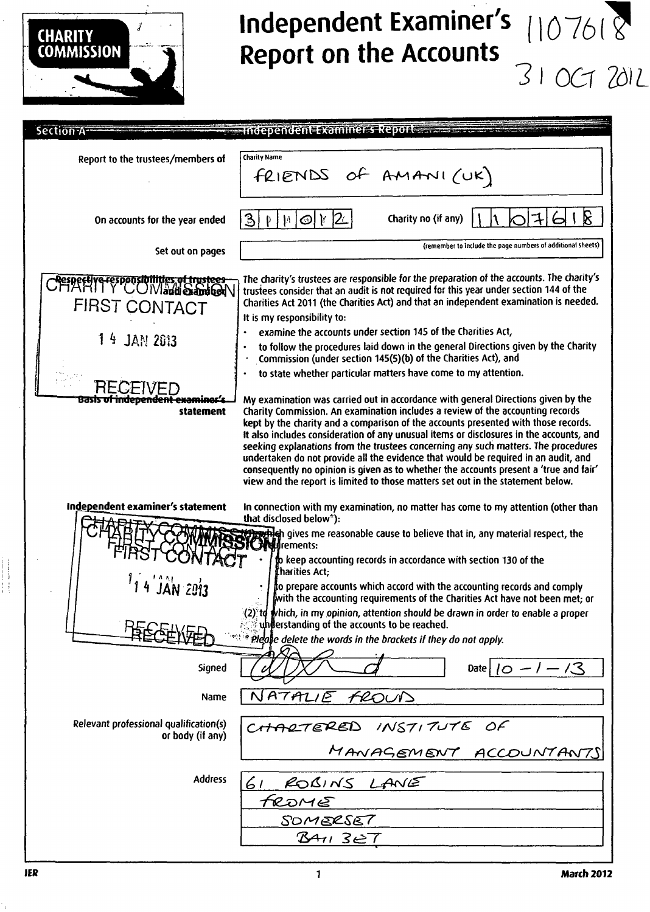

### **Independent Examiner's Report on the Accounts**  10761? *31 OCT T&L*

| <b>Section A</b>                                                                                                                           | -Independent Examiner's Report - The Co                                                                                                                                                                                                                                                                                                                                                                                                                                                                                                                                                                                                                                                                                                                                                                                                                           |
|--------------------------------------------------------------------------------------------------------------------------------------------|-------------------------------------------------------------------------------------------------------------------------------------------------------------------------------------------------------------------------------------------------------------------------------------------------------------------------------------------------------------------------------------------------------------------------------------------------------------------------------------------------------------------------------------------------------------------------------------------------------------------------------------------------------------------------------------------------------------------------------------------------------------------------------------------------------------------------------------------------------------------|
|                                                                                                                                            |                                                                                                                                                                                                                                                                                                                                                                                                                                                                                                                                                                                                                                                                                                                                                                                                                                                                   |
| Report to the trustees/members of                                                                                                          | Charity Name<br>FRIENDS of AMANI(UK)                                                                                                                                                                                                                                                                                                                                                                                                                                                                                                                                                                                                                                                                                                                                                                                                                              |
| On accounts for the year ended                                                                                                             | ß.<br> 3 <br>Charity no (if any)<br>$\mathbf{y}$<br>$\odot$<br>$\vert h \vert$<br>₽                                                                                                                                                                                                                                                                                                                                                                                                                                                                                                                                                                                                                                                                                                                                                                               |
| Set out on pages                                                                                                                           | (remember to include the page numbers of additional sheets)                                                                                                                                                                                                                                                                                                                                                                                                                                                                                                                                                                                                                                                                                                                                                                                                       |
| Cespective responsibilities of trustees<br>FIRST CONTACT<br>14 JAN 2013<br>BE.<br>Basi <del>s of independent examiner's</del><br>statement | The charity's trustees are responsible for the preparation of the accounts. The charity's<br>trustees consider that an audit is not required for this year under section 144 of the<br>Charities Act 2011 (the Charities Act) and that an independent examination is needed.<br>It is my responsibility to:<br>examine the accounts under section 145 of the Charities Act,<br>to follow the procedures laid down in the general Directions given by the Charity<br>Commission (under section 145(5)(b) of the Charities Act), and<br>to state whether particular matters have come to my attention.<br>My examination was carried out in accordance with general Directions given by the<br>Charity Commission. An examination includes a review of the accounting records<br>kept by the charity and a comparison of the accounts presented with those records. |
|                                                                                                                                            | It also includes consideration of any unusual items or disclosures in the accounts, and<br>seeking explanations from the trustees concerning any such matters. The procedures<br>undertaken do not provide all the evidence that would be required in an audit, and<br>consequently no opinion is given as to whether the accounts present a 'true and fair'<br>view and the report is limited to those matters set out in the statement below.                                                                                                                                                                                                                                                                                                                                                                                                                   |
| Independent examiner's statement                                                                                                           | In connection with my examination, no matter has come to my attention (other than<br>that disclosed below <sup>*</sup> ):<br>profilen gives me reasonable cause to believe that in, any material respect, the<br>Dreftfrements:<br>to keep accounting records in accordance with section 130 of the<br>tharities Act;<br>to prepare accounts which accord with the accounting records and comply<br>with the accounting requirements of the Charities Act have not been met; or<br>(2) to which, in my opinion, attention should be drawn in order to enable a proper<br>understanding of the accounts to be reached.<br>* Please delete the words in the brackets if they do not apply.                                                                                                                                                                          |
| Signed                                                                                                                                     | Date $10 - 1 - 13$                                                                                                                                                                                                                                                                                                                                                                                                                                                                                                                                                                                                                                                                                                                                                                                                                                                |
| Name                                                                                                                                       | NATALIE<br>FROUD                                                                                                                                                                                                                                                                                                                                                                                                                                                                                                                                                                                                                                                                                                                                                                                                                                                  |
| Relevant professional qualification(s)<br>or body (if any)                                                                                 | CHARTERED INSTITUTE OF<br>MANAGEMENT ACCOUNTANTS                                                                                                                                                                                                                                                                                                                                                                                                                                                                                                                                                                                                                                                                                                                                                                                                                  |
| <b>Address</b>                                                                                                                             | ROBINS LANE<br>61<br>FROME<br><b>SOMERSET</b><br>B4113E7                                                                                                                                                                                                                                                                                                                                                                                                                                                                                                                                                                                                                                                                                                                                                                                                          |

٠,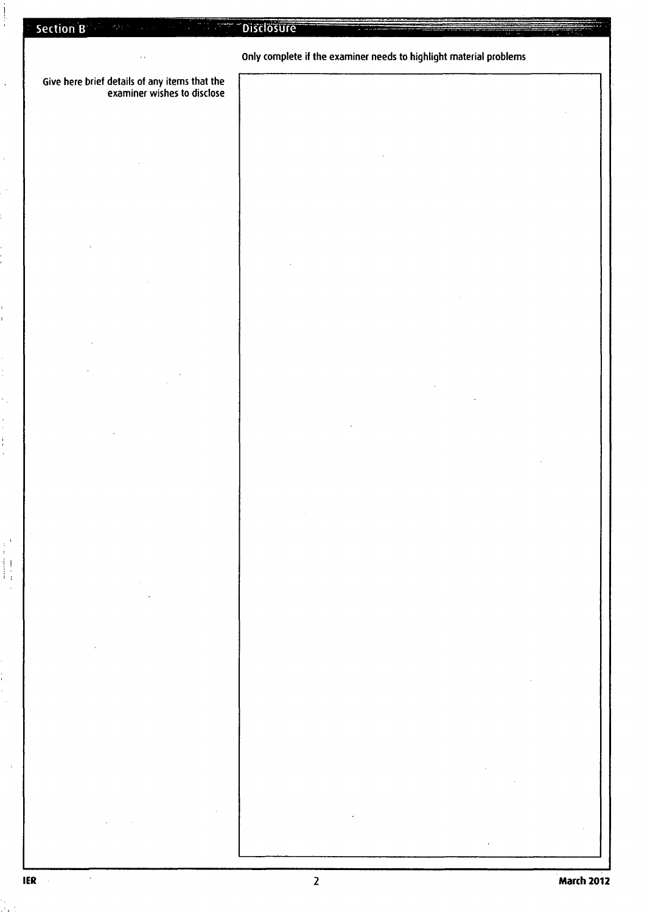Give here brief details of any items that the examiner wishes to disclose

 $\overline{a}$ 

 $\frac{1}{1}$ 

 $\begin{array}{c} \begin{array}{c} 1 \\ 1 \end{array} \\ \begin{array}{c} 1 \end{array} \end{array}$ 

### Only complete if the examiner needs to highlight material problems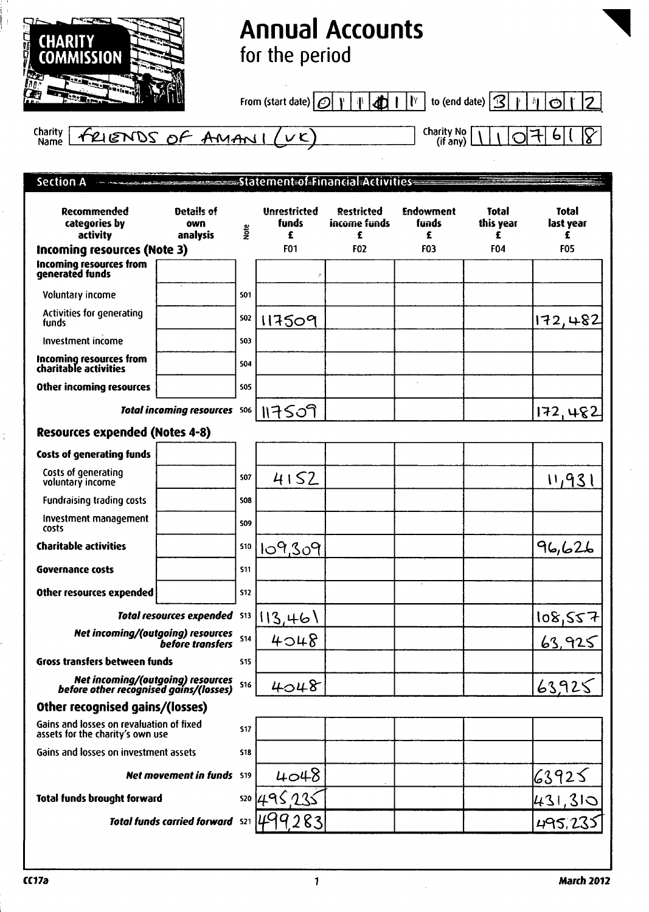

## **Annual Accounts for the period**

From (start date)  $\boxed{\mathcal{O}|\mathcal{V}|\mathcal{P}|\mathcal{A}}$  | | $\boxed{\mathcal{V}}$  to (end date)  $\boxed{3|\mathcal{V}|\mathcal{A}}$  |  $\boxed{\mathcal{O}|\mathcal{V}|2}$ 

 $6$ <sup> $($ </sup>  $\overline{\mathcal{S}}$ 

FRIENDS OF AMANI (VK) Charity Name

| Section A<br><b>The construction of the</b>                                  |                                  |            |                                   |                                        |                                |                                |                                |
|------------------------------------------------------------------------------|----------------------------------|------------|-----------------------------------|----------------------------------------|--------------------------------|--------------------------------|--------------------------------|
| Recommended<br>categories by<br>activity                                     | Details of<br>own<br>analysis    | gre        | <b>Unrestricted</b><br>funds<br>£ | <b>Restricted</b><br>income funds<br>£ | <b>Endowment</b><br>funds<br>£ | <b>Total</b><br>this year<br>£ | <b>Total</b><br>last year<br>£ |
| Incoming resources (Note 3)                                                  |                                  |            | F <sub>01</sub>                   | <b>F02</b>                             | <b>F03</b>                     | <b>F04</b>                     | <b>F05</b>                     |
| Incoming resources from<br>generated funds                                   |                                  |            | è                                 |                                        |                                |                                |                                |
| Voluntary income                                                             |                                  | 501        |                                   |                                        |                                |                                |                                |
| Activities for generating<br>funds                                           |                                  | <b>S02</b> | 117509                            |                                        |                                |                                | 172,482                        |
| <b>Investment income</b>                                                     |                                  | 503        |                                   |                                        |                                |                                |                                |
| Incoming resources from<br>charitable activities                             |                                  | \$04       |                                   |                                        |                                |                                |                                |
| Other incoming resources                                                     |                                  | 505        |                                   |                                        |                                |                                |                                |
|                                                                              | Total incoming resources 506     |            | 117509                            |                                        |                                |                                | 172,482                        |
| <b>Resources expended (Notes 4-8)</b>                                        |                                  |            |                                   |                                        |                                |                                |                                |
| <b>Costs of generating funds</b>                                             |                                  |            |                                   |                                        |                                |                                |                                |
| Costs of generating<br>voluntary income                                      |                                  | 507        | 4152                              |                                        |                                |                                | 11,931                         |
| <b>Fundraising trading costs</b>                                             |                                  | 508        |                                   |                                        |                                |                                |                                |
| Investment management<br>costs                                               |                                  | <b>SO9</b> |                                   |                                        |                                |                                |                                |
| <b>Charitable activities</b>                                                 |                                  | <b>S10</b> | 109,309                           |                                        |                                |                                | 96,626                         |
| <b>Governance costs</b>                                                      |                                  | <b>S11</b> |                                   |                                        |                                |                                |                                |
| Other resources expended                                                     |                                  | 512        |                                   |                                        |                                |                                |                                |
|                                                                              | <b>Total resources expended</b>  | 513        | 113,461                           |                                        |                                |                                | 108,557                        |
| Net incoming/(outgoing) resources                                            | <b>before transfers</b>          | 514        | 4048                              |                                        |                                |                                | 63,925                         |
| Gross transfers between funds                                                |                                  | 515        |                                   |                                        |                                |                                |                                |
| Net incoming/(outgoing) resources<br>before other recognised gains/(losses)  |                                  | <b>S16</b> | 4048                              |                                        |                                |                                | 63,925                         |
| Other recognised gains/(losses)                                              |                                  |            |                                   |                                        |                                |                                |                                |
| Gains and losses on revaluation of fixed<br>assets for the charity's own use |                                  | <b>S17</b> |                                   |                                        |                                |                                |                                |
| Gains and losses on investment assets                                        |                                  | 518        |                                   |                                        |                                |                                |                                |
|                                                                              | <b>Net movement in funds</b> S19 |            | 4048                              |                                        |                                |                                | 63925                          |
| <b>Total funds brought forward</b>                                           |                                  | 520        |                                   |                                        |                                |                                | 431,315                        |
|                                                                              | Total funds carried forward S21  |            |                                   |                                        |                                |                                | 495,23                         |

à.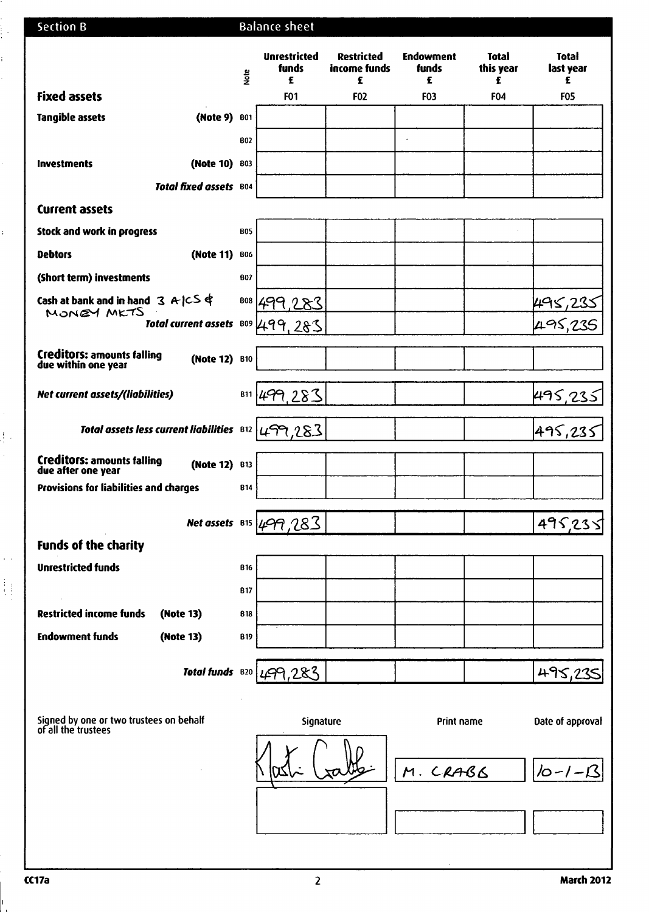| <b>Section B</b>                                                         |            | <b>Balance sheet</b>                     |                                        |                                |                                |                                |
|--------------------------------------------------------------------------|------------|------------------------------------------|----------------------------------------|--------------------------------|--------------------------------|--------------------------------|
|                                                                          | <b>g</b>   | <b>Unrestricted</b><br><b>funds</b><br>£ | <b>Restricted</b><br>income funds<br>£ | <b>Endowment</b><br>funds<br>£ | <b>Total</b><br>this year<br>£ | <b>Total</b><br>last year<br>£ |
| <b>Fixed assets</b>                                                      |            | F01                                      | F <sub>02</sub>                        | <b>F03</b>                     | <b>F04</b>                     | <b>F05</b>                     |
| <b>Tangible assets</b><br>(Note 9)                                       | <b>B01</b> |                                          |                                        |                                |                                |                                |
|                                                                          | <b>B02</b> |                                          |                                        | $\cdot$                        |                                |                                |
| (Note 10)<br><b>Investments</b>                                          | 803        |                                          |                                        |                                |                                |                                |
| Total fixed assets B04                                                   |            |                                          |                                        |                                |                                |                                |
| <b>Current assets</b>                                                    |            |                                          |                                        |                                |                                |                                |
| Stock and work in progress                                               | <b>B05</b> |                                          |                                        |                                |                                |                                |
| <b>Debtors</b><br>(Note 11)                                              | <b>B06</b> |                                          |                                        |                                |                                |                                |
| (Short term) investments                                                 | <b>B07</b> |                                          |                                        |                                |                                |                                |
| Cash at bank and in hand $3 \mathsf{A} \subset \mathsf{S} \$             | <b>B08</b> |                                          |                                        |                                |                                |                                |
| MONEY MKTS<br>Total current assets B09                                   |            | 283                                      |                                        |                                |                                |                                |
| <b>Creditors: amounts falling</b>                                        |            |                                          |                                        |                                |                                |                                |
| (Note 12) B10<br>due within one year                                     |            |                                          |                                        |                                |                                |                                |
| Net current assets/(liabilities)                                         | <b>B11</b> | 19.283                                   |                                        |                                |                                | 495, <u>235</u>                |
| Total assets less current liabilities B12                                |            | 499,283                                  |                                        |                                |                                | 495,235                        |
| <b>Creditors: amounts falling</b><br>(Note 12) B13<br>due after one year |            |                                          |                                        |                                |                                |                                |
| Provisions for liabilities and charges                                   | <b>B14</b> |                                          |                                        |                                |                                |                                |
|                                                                          |            | Net assets $815/499/283$                 |                                        |                                |                                | 49523.                         |
| <b>Funds of the charity</b>                                              |            |                                          |                                        |                                |                                |                                |
| <b>Unrestricted funds</b>                                                | <b>B16</b> |                                          |                                        |                                |                                |                                |
|                                                                          | <b>B17</b> |                                          |                                        |                                |                                |                                |
| <b>Restricted income funds</b><br>(Note 13)                              | 818        |                                          |                                        |                                |                                |                                |
| <b>Endowment funds</b><br>(Note 13)                                      | <b>B19</b> |                                          |                                        |                                |                                |                                |
| Total funds B20                                                          |            |                                          |                                        |                                |                                |                                |
|                                                                          |            | 499,283                                  |                                        |                                |                                | 495,235                        |
|                                                                          |            |                                          |                                        |                                |                                |                                |
| Signed by one or two trustees on behalf<br>of all the trustees           |            | Signature                                |                                        | Print name                     |                                | Date of approval               |
|                                                                          |            |                                          |                                        | M. CRABB                       |                                | $10 - 1 - 13$                  |
|                                                                          |            |                                          |                                        |                                |                                |                                |
|                                                                          |            |                                          |                                        |                                |                                |                                |

 $\mathbf{u}$ 

i<br>In

ř.

 $\hat{\mathbf{r}}$ 

Ŷ,

 $\frac{1}{2}$  $\hat{\mathcal{L}}$ 

 $\frac{1}{2}$  ,

 $\begin{array}{c} \left\{ \begin{array}{c} 1 \\ 1 \end{array} \right\} \\ \left\{ \begin{array}{c} 1 \\ 1 \end{array} \right\} \end{array}$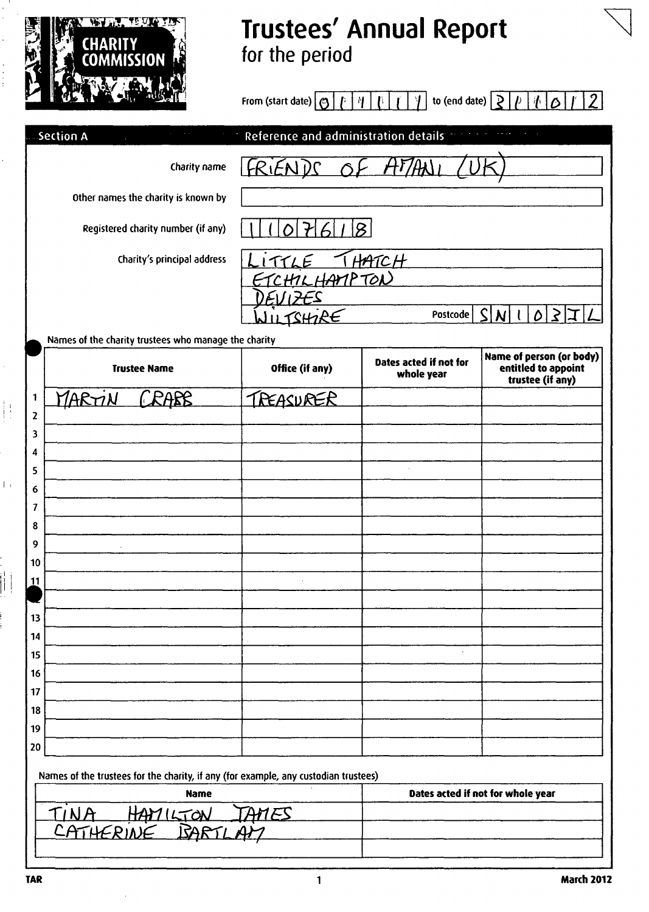

# **Trustees' Annual Report**  for the period

From l (start date) | Q | f |\*f | { \ | 1 / 1 to (end date) | £ | / <sup>J</sup> | I I £ I /' I 2

| Section A                                            | Reference and administration details |                                      |                                                                     |
|------------------------------------------------------|--------------------------------------|--------------------------------------|---------------------------------------------------------------------|
| Charity name                                         | FRIENDS                              |                                      |                                                                     |
| Other names the charity is known by                  |                                      |                                      |                                                                     |
| Registered charity number (if any)                   | Ω                                    |                                      |                                                                     |
| Charity's principal address                          | ITTLE THATCH                         |                                      |                                                                     |
|                                                      | CHILHAMPTON                          |                                      |                                                                     |
|                                                      | UTSHIRE                              | Postcode                             | $\mathsf{S}^{\scriptscriptstyle\mathsf{I}}$<br>N                    |
| Names of the charity trustees who manage the charity |                                      |                                      |                                                                     |
| <b>Trustee Name</b>                                  | Office (if any)                      | Dates acted if not for<br>whole year | Name of person (or body)<br>entitled to appoint<br>trustee (if any) |
| PARE<br>MARTIN<br>1                                  | TREASURER                            |                                      |                                                                     |
| $\mathbf{z}$                                         |                                      |                                      |                                                                     |
| 3                                                    |                                      |                                      |                                                                     |
| 4                                                    |                                      |                                      |                                                                     |
| 5                                                    |                                      |                                      |                                                                     |
| 6<br>7                                               |                                      |                                      |                                                                     |
| 8                                                    |                                      |                                      |                                                                     |
| 9                                                    |                                      |                                      |                                                                     |
| 10                                                   |                                      |                                      |                                                                     |
| 11                                                   |                                      |                                      |                                                                     |
|                                                      |                                      |                                      |                                                                     |
| 13                                                   |                                      |                                      |                                                                     |
| 14                                                   |                                      |                                      |                                                                     |
| 15                                                   |                                      | $\hat{\mathbf{v}}$                   |                                                                     |
| 16                                                   |                                      |                                      |                                                                     |
| 17                                                   |                                      |                                      |                                                                     |
| 18                                                   |                                      |                                      |                                                                     |
| 19<br>20                                             |                                      |                                      |                                                                     |
|                                                      |                                      |                                      |                                                                     |

Names of the trustees for the charity, if any (for example, any custodian trustees)

| <b>Name</b>           | Dates acted if not for whole year |
|-----------------------|-----------------------------------|
| HAYILTON              |                                   |
| CATHERINE<br>$\Delta$ |                                   |
|                       |                                   |

 $\begin{bmatrix} 1 \\ 1 \end{bmatrix}$ 

 $\bar{U}$  :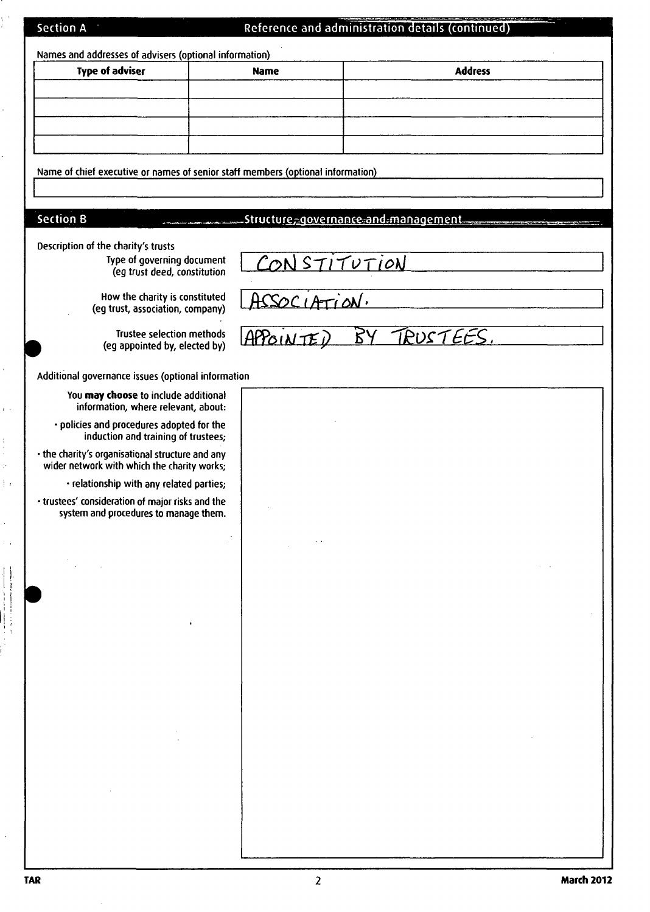|  | Section A |  |
|--|-----------|--|
|  |           |  |

 $\frac{1}{2}$ 

l,

l,

 $\ddot{\phantom{0}}$ 

 $\hat{\mathbf{y}}$  ).

 $\begin{array}{c} 0 \\ 0 \\ 0 \\ 0 \\ 0 \end{array}$ 

 $\frac{1}{2}$  ,

 $\frac{1}{\sqrt{2}}$  $\sim$   $\sim$ 

 $\begin{array}{c} \begin{array}{c} \begin{array}{c} \begin{array}{c} \end{array} \\ \begin{array}{c} \end{array} \\ \begin{array}{c} \end{array} \\ \begin{array}{c} \end{array} \\ \begin{array}{c} \end{array} \end{array} \end{array}$ 

 $\frac{1}{2}$  $\mathbf{r}$ 

### Reference and administration details (continued)

| Names and addresses of advisers (optional information)                                          |              |                                                 |  |
|-------------------------------------------------------------------------------------------------|--------------|-------------------------------------------------|--|
| <b>Type of adviser</b>                                                                          | <b>Name</b>  | <b>Address</b>                                  |  |
|                                                                                                 |              |                                                 |  |
|                                                                                                 |              |                                                 |  |
|                                                                                                 |              |                                                 |  |
|                                                                                                 |              |                                                 |  |
| Name of chief executive or names of senior staff members (optional information)                 |              |                                                 |  |
|                                                                                                 |              |                                                 |  |
| <b>Section B</b>                                                                                |              | .Structu <u>re, governance and management .</u> |  |
| Description of the charity's trusts                                                             |              |                                                 |  |
| Type of governing document<br>(eg trust deed, constitution                                      | CONSTITUTION |                                                 |  |
|                                                                                                 |              |                                                 |  |
| How the charity is constituted<br>(eg trust, association, company)                              | ASSOCIATION. |                                                 |  |
| <b>Trustee selection methods</b>                                                                | APBONTED     | <u> TRUSTEES</u> .                              |  |
| (eg appointed by, elected by)                                                                   |              |                                                 |  |
| Additional governance issues (optional information                                              |              |                                                 |  |
| You may choose to include additional<br>information, where relevant, about:                     |              |                                                 |  |
| · policies and procedures adopted for the<br>induction and training of trustees;                |              |                                                 |  |
| • the charity's organisational structure and any<br>wider network with which the charity works; |              |                                                 |  |
| · relationship with any related parties;                                                        |              |                                                 |  |
| · trustees' consideration of major risks and the<br>system and procedures to manage them.       |              |                                                 |  |
|                                                                                                 |              |                                                 |  |
|                                                                                                 |              |                                                 |  |
|                                                                                                 |              |                                                 |  |
|                                                                                                 |              |                                                 |  |
|                                                                                                 |              |                                                 |  |
|                                                                                                 |              |                                                 |  |
|                                                                                                 |              |                                                 |  |
|                                                                                                 |              |                                                 |  |
|                                                                                                 |              |                                                 |  |
|                                                                                                 |              |                                                 |  |
|                                                                                                 |              |                                                 |  |
|                                                                                                 |              |                                                 |  |
|                                                                                                 |              |                                                 |  |
|                                                                                                 |              |                                                 |  |
|                                                                                                 |              |                                                 |  |
|                                                                                                 |              |                                                 |  |

 $\bar{\gamma}$ 

 $\hat{\boldsymbol{\beta}}$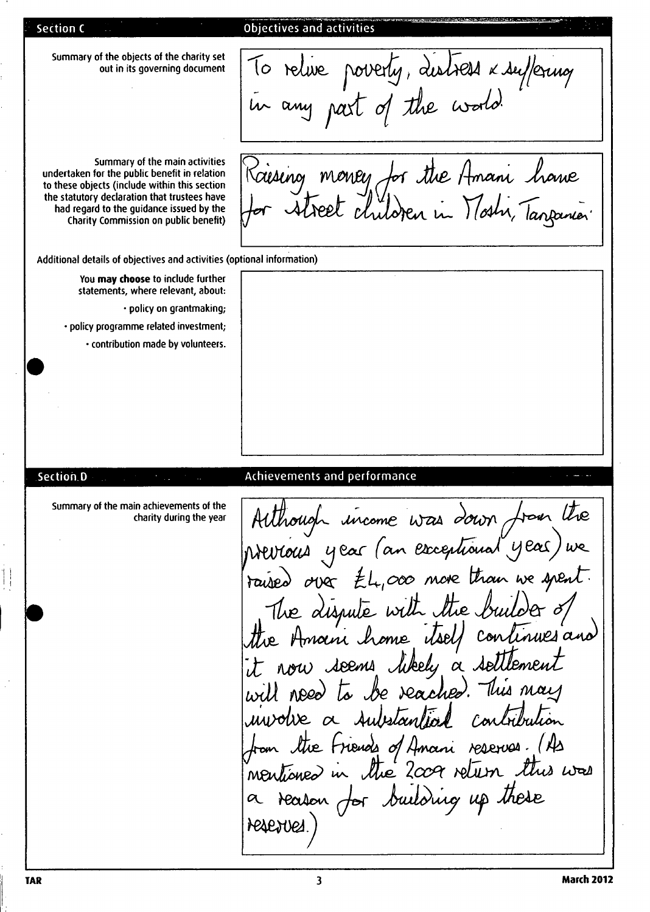Section C

#### Objectives and activities

Summary of the objects of the charity set out in its governing document

Summary of the main activities undertaken for the public benefit in relation to these objects (include within this section the statutory declaration that trustees have had regard to the guidance issued by the Charity Commission on public benefit)

in any past of the world. Raising money for the Amani have<br>for street children in Noshi, Tanpanier

To relive poverty, distress x suffering

Additional details of objectives and activities (optional information)

You may choose to include further statements, where relevant, about: • policy on grantmaking policy programme related investment, • contribution made by volunteers

#### Achievements and performance

Summary of the main achievements of the charity during the year

Sectioh.D

Although income was down from the Wevious year (an exceptional year) raised over EL,000 more than we spent. The dispute with the builder of the Amain home continues and nou seems kel*u* a sel will need Dan Delan Con the Friends of Amani reserves. (As neutioned in the 2009 return this was reason for building up these resences